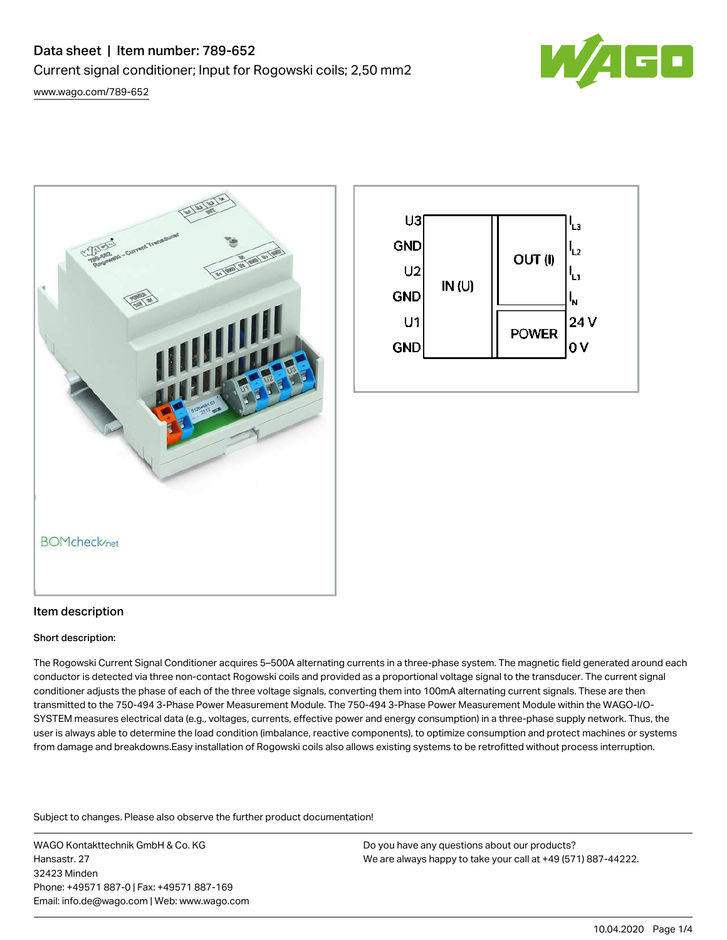# Data sheet | Item number: 789-652 Current signal conditioner; Input for Rogowski coils; 2,50 mm2



[www.wago.com/789-652](http://www.wago.com/789-652)





#### Item description

#### Short description:

The Rogowski Current Signal Conditioner acquires 5–500A alternating currents in a three-phase system. The magnetic field generated around each conductor is detected via three non-contact Rogowski coils and provided as a proportional voltage signal to the transducer. The current signal conditioner adjusts the phase of each of the three voltage signals, converting them into 100mA alternating current signals. These are then transmitted to the 750-494 3-Phase Power Measurement Module. The 750-494 3-Phase Power Measurement Module within the WAGO-I/O-SYSTEM measures electrical data (e.g., voltages, currents, effective power and energy consumption) in a three-phase supply network. Thus, the user is always able to determine the load condition (imbalance, reactive components), to optimize consumption and protect machines or systems from damage and breakdowns.Easy installation of Rogowski coils also allows existing systems to be retrofitted without process interruption.

Subject to changes. Please also observe the further product documentation!

WAGO Kontakttechnik GmbH & Co. KG Hansastr. 27 32423 Minden Phone: +49571 887-0 | Fax: +49571 887-169 Email: info.de@wago.com | Web: www.wago.com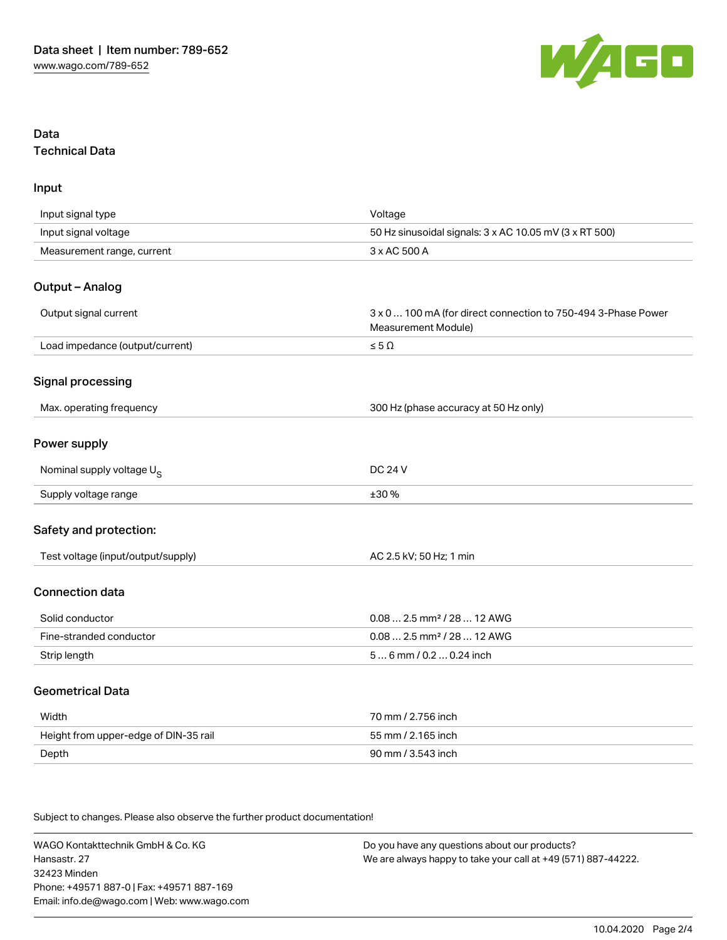

# Data Technical Data

Input

| Input signal type                     | Voltage                                                                              |
|---------------------------------------|--------------------------------------------------------------------------------------|
| Input signal voltage                  | 50 Hz sinusoidal signals: 3 x AC 10.05 mV (3 x RT 500)                               |
| Measurement range, current            | 3 x AC 500 A                                                                         |
| Output - Analog                       |                                                                                      |
| Output signal current                 | 3 x 0  100 mA (for direct connection to 750-494 3-Phase Power<br>Measurement Module) |
| Load impedance (output/current)       | $\leq 5 \; \Omega$                                                                   |
| Signal processing                     |                                                                                      |
| Max. operating frequency              | 300 Hz (phase accuracy at 50 Hz only)                                                |
| Power supply                          |                                                                                      |
| Nominal supply voltage U <sub>S</sub> | <b>DC 24 V</b>                                                                       |
| Supply voltage range                  | ±30 %                                                                                |
| Safety and protection:                |                                                                                      |
| Test voltage (input/output/supply)    | AC 2.5 kV; 50 Hz; 1 min                                                              |
| <b>Connection data</b>                |                                                                                      |
| Solid conductor                       | $0.08$ 2.5 mm <sup>2</sup> / 28  12 AWG                                              |
| Fine-stranded conductor               | $0.08$ 2.5 mm <sup>2</sup> / 28  12 AWG                                              |
| Strip length                          | 56 mm / 0.2 0.24 inch                                                                |
| <b>Geometrical Data</b>               |                                                                                      |
| Width                                 | 70 mm / 2.756 inch                                                                   |
| Height from upper-edge of DIN-35 rail | 55 mm / 2.165 inch                                                                   |
| Depth                                 | 90 mm / 3.543 inch                                                                   |

Subject to changes. Please also observe the further product documentation!

WAGO Kontakttechnik GmbH & Co. KG Hansastr. 27 32423 Minden Phone: +49571 887-0 | Fax: +49571 887-169 Email: info.de@wago.com | Web: www.wago.com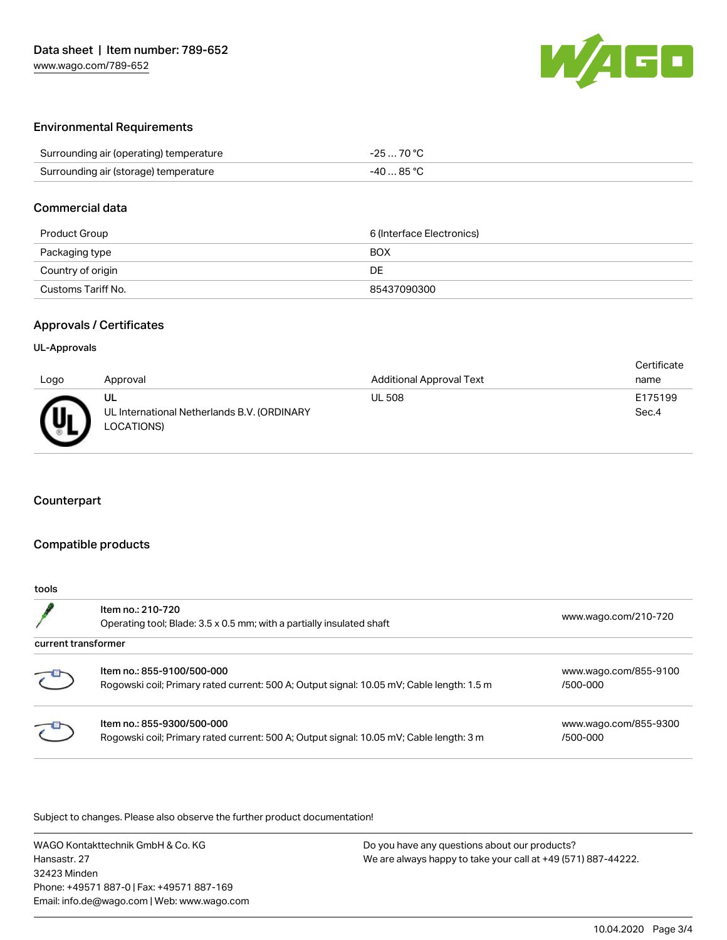

## Environmental Requirements

| Surrounding air (operating) temperature | $-2570 °C$ |
|-----------------------------------------|------------|
| Surrounding air (storage) temperature   | -40  85 °C |

#### Commercial data

| Product Group      | 6 (Interface Electronics) |
|--------------------|---------------------------|
| Packaging type     | <b>BOX</b>                |
| Country of origin  | DE                        |
| Customs Tariff No. | 85437090300               |

## Approvals / Certificates

#### UL-Approvals

|      |                                             |                                 | Certificate |
|------|---------------------------------------------|---------------------------------|-------------|
| Logo | Approval                                    | <b>Additional Approval Text</b> | name        |
|      | UL                                          | <b>UL 508</b>                   | E175199     |
| መ    | UL International Netherlands B.V. (ORDINARY |                                 | Sec.4       |
|      | LOCATIONS)                                  |                                 |             |

## Counterpart

### Compatible products

| tools               |                                                                                                                         |                                   |
|---------------------|-------------------------------------------------------------------------------------------------------------------------|-----------------------------------|
|                     | Item no.: 210-720<br>Operating tool; Blade: 3.5 x 0.5 mm; with a partially insulated shaft                              | www.wago.com/210-720              |
| current transformer |                                                                                                                         |                                   |
| $\epsilon$          | Item no.: 855-9100/500-000<br>Rogowski coil; Primary rated current: 500 A; Output signal: 10.05 mV; Cable length: 1.5 m | www.wago.com/855-9100<br>/500-000 |
|                     | Item no.: 855-9300/500-000<br>Rogowski coil; Primary rated current: 500 A; Output signal: 10.05 mV; Cable length: 3 m   | www.wago.com/855-9300<br>/500-000 |

Subject to changes. Please also observe the further product documentation!

WAGO Kontakttechnik GmbH & Co. KG Hansastr. 27 32423 Minden Phone: +49571 887-0 | Fax: +49571 887-169 Email: info.de@wago.com | Web: www.wago.com